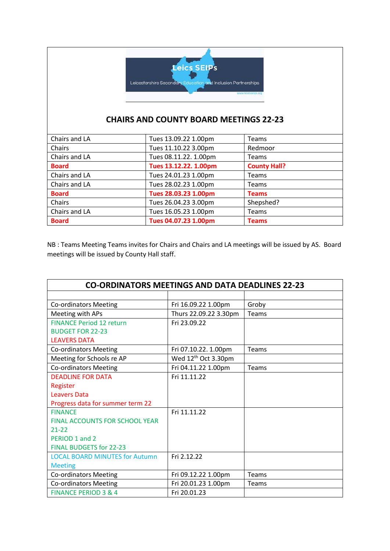

## **CHAIRS AND COUNTY BOARD MEETINGS 22-23**

| Chairs and LA | Tues 13.09.22 1.00pm  | <b>Teams</b>        |
|---------------|-----------------------|---------------------|
| Chairs        | Tues 11.10.22 3.00pm  | Redmoor             |
| Chairs and LA | Tues 08.11.22. 1.00pm | <b>Teams</b>        |
| <b>Board</b>  | Tues 13.12.22. 1.00pm | <b>County Hall?</b> |
| Chairs and LA | Tues 24.01.23 1.00pm  | <b>Teams</b>        |
| Chairs and LA | Tues 28.02.23 1.00pm  | <b>Teams</b>        |
| <b>Board</b>  | Tues 28.03.23 1.00pm  | <b>Teams</b>        |
| Chairs        | Tues 26.04.23 3.00pm  | Shepshed?           |
| Chairs and LA | Tues 16.05.23 1.00pm  | <b>Teams</b>        |
| <b>Board</b>  | Tues 04.07.23 1.00pm  | <b>Teams</b>        |

NB : Teams Meeting Teams invites for Chairs and Chairs and LA meetings will be issued by AS. Board meetings will be issued by County Hall staff.

| <b>CO-ORDINATORS MEETINGS AND DATA DEADLINES 22-23</b> |                                 |       |  |
|--------------------------------------------------------|---------------------------------|-------|--|
|                                                        |                                 |       |  |
| <b>Co-ordinators Meeting</b>                           | Fri 16.09.22 1.00pm             | Groby |  |
| Meeting with APs                                       | Thurs 22.09.22 3.30pm           | Teams |  |
| <b>FINANCE Period 12 return</b>                        | Fri 23.09.22                    |       |  |
| <b>BUDGET FOR 22-23</b>                                |                                 |       |  |
| <b>LEAVERS DATA</b>                                    |                                 |       |  |
| <b>Co-ordinators Meeting</b>                           | Fri 07.10.22. 1.00pm            | Teams |  |
| Meeting for Schools re AP                              | Wed 12 <sup>th</sup> Oct 3.30pm |       |  |
| <b>Co-ordinators Meeting</b>                           | Fri 04.11.22 1.00pm             | Teams |  |
| <b>DEADLINE FOR DATA</b>                               | Fri 11.11.22                    |       |  |
| Register                                               |                                 |       |  |
| <b>Leavers Data</b>                                    |                                 |       |  |
| Progress data for summer term 22                       |                                 |       |  |
| <b>FINANCE</b>                                         | Fri 11.11.22                    |       |  |
| <b>FINAL ACCOUNTS FOR SCHOOL YEAR</b>                  |                                 |       |  |
| 21-22                                                  |                                 |       |  |
| PERIOD 1 and 2                                         |                                 |       |  |
| <b>FINAL BUDGETS for 22-23</b>                         |                                 |       |  |
| <b>LOCAL BOARD MINUTES for Autumn</b>                  | Fri 2.12.22                     |       |  |
| <b>Meeting</b>                                         |                                 |       |  |
| <b>Co-ordinators Meeting</b>                           | Fri 09.12.22 1.00pm             | Teams |  |
| <b>Co-ordinators Meeting</b>                           | Fri 20.01.23 1.00pm             | Teams |  |
| <b>FINANCE PERIOD 3 &amp; 4</b>                        | Fri 20.01.23                    |       |  |